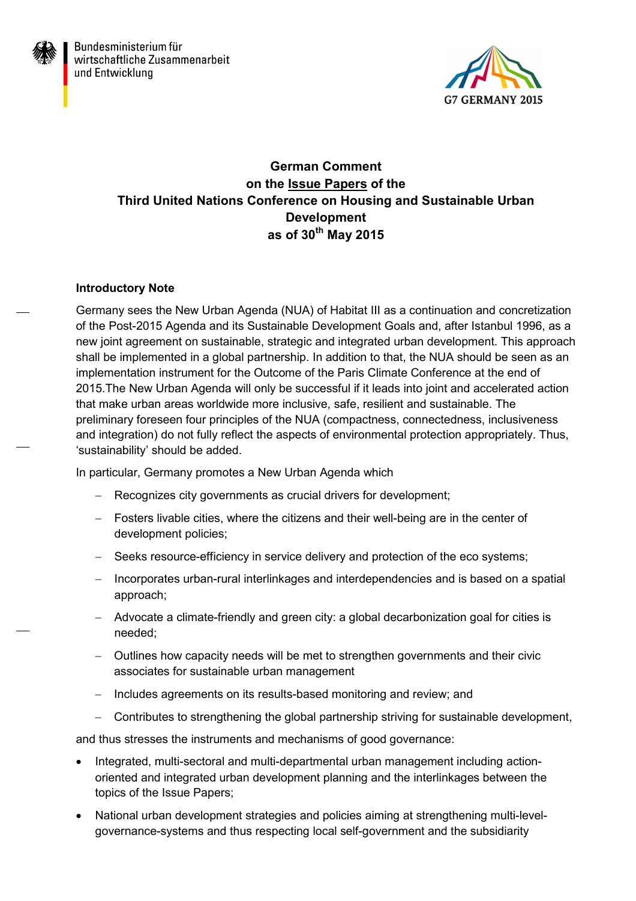



# **German Comment on the Issue Papers of the Third United Nations Conference on Housing and Sustainable Urban Development as of 30th May 2015**

# **Introductory Note**

Germany sees the New Urban Agenda (NUA) of Habitat III as a continuation and concretization of the Post-2015 Agenda and its Sustainable Development Goals and, after Istanbul 1996, as a new joint agreement on sustainable, strategic and integrated urban development. This approach shall be implemented in a global partnership. In addition to that, the NUA should be seen as an implementation instrument for the Outcome of the Paris Climate Conference at the end of 2015.The New Urban Agenda will only be successful if it leads into joint and accelerated action that make urban areas worldwide more inclusive, safe, resilient and sustainable. The preliminary foreseen four principles of the NUA (compactness, connectedness, inclusiveness and integration) do not fully reflect the aspects of environmental protection appropriately. Thus, 'sustainability' should be added.

In particular, Germany promotes a New Urban Agenda which

- − Recognizes city governments as crucial drivers for development;
- − Fosters livable cities, where the citizens and their well-being are in the center of development policies;
- − Seeks resource-efficiency in service delivery and protection of the eco systems;
- − Incorporates urban-rural interlinkages and interdependencies and is based on a spatial approach;
- − Advocate a climate-friendly and green city: a global decarbonization goal for cities is needed;
- − Outlines how capacity needs will be met to strengthen governments and their civic associates for sustainable urban management
- − Includes agreements on its results-based monitoring and review; and
- − Contributes to strengthening the global partnership striving for sustainable development,

and thus stresses the instruments and mechanisms of good governance:

- Integrated, multi-sectoral and multi-departmental urban management including actionoriented and integrated urban development planning and the interlinkages between the topics of the Issue Papers;
- National urban development strategies and policies aiming at strengthening multi-levelgovernance-systems and thus respecting local self-government and the subsidiarity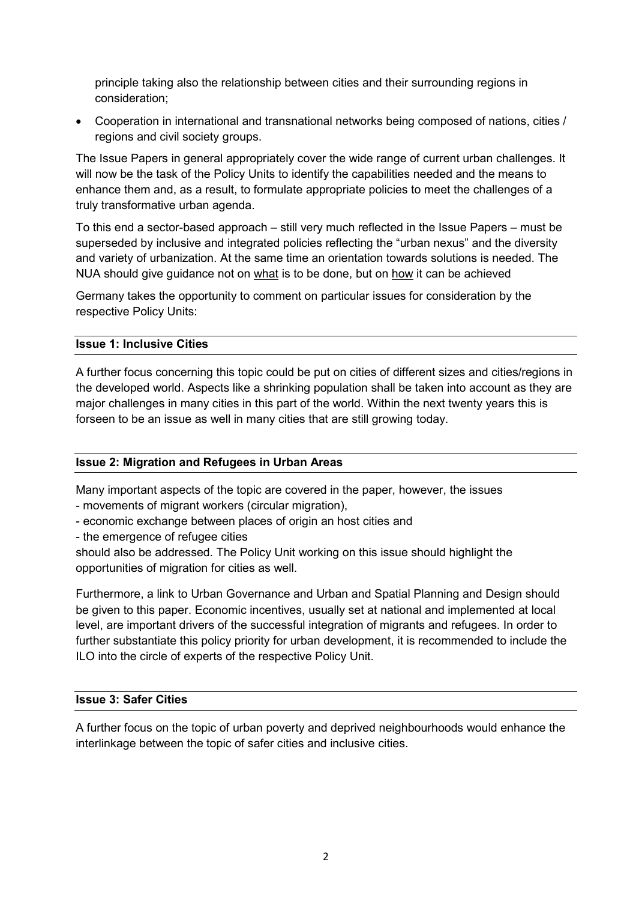principle taking also the relationship between cities and their surrounding regions in consideration;

• Cooperation in international and transnational networks being composed of nations, cities / regions and civil society groups.

The Issue Papers in general appropriately cover the wide range of current urban challenges. It will now be the task of the Policy Units to identify the capabilities needed and the means to enhance them and, as a result, to formulate appropriate policies to meet the challenges of a truly transformative urban agenda.

To this end a sector-based approach – still very much reflected in the Issue Papers – must be superseded by inclusive and integrated policies reflecting the "urban nexus" and the diversity and variety of urbanization. At the same time an orientation towards solutions is needed. The NUA should give guidance not on what is to be done, but on how it can be achieved

Germany takes the opportunity to comment on particular issues for consideration by the respective Policy Units:

#### **Issue 1: Inclusive Cities**

A further focus concerning this topic could be put on cities of different sizes and cities/regions in the developed world. Aspects like a shrinking population shall be taken into account as they are major challenges in many cities in this part of the world. Within the next twenty years this is forseen to be an issue as well in many cities that are still growing today.

#### **Issue 2: Migration and Refugees in Urban Areas**

Many important aspects of the topic are covered in the paper, however, the issues

- movements of migrant workers (circular migration),
- economic exchange between places of origin an host cities and
- the emergence of refugee cities

should also be addressed. The Policy Unit working on this issue should highlight the opportunities of migration for cities as well.

Furthermore, a link to Urban Governance and Urban and Spatial Planning and Design should be given to this paper. Economic incentives, usually set at national and implemented at local level, are important drivers of the successful integration of migrants and refugees. In order to further substantiate this policy priority for urban development, it is recommended to include the ILO into the circle of experts of the respective Policy Unit.

# **Issue 3: Safer Cities**

A further focus on the topic of urban poverty and deprived neighbourhoods would enhance the interlinkage between the topic of safer cities and inclusive cities.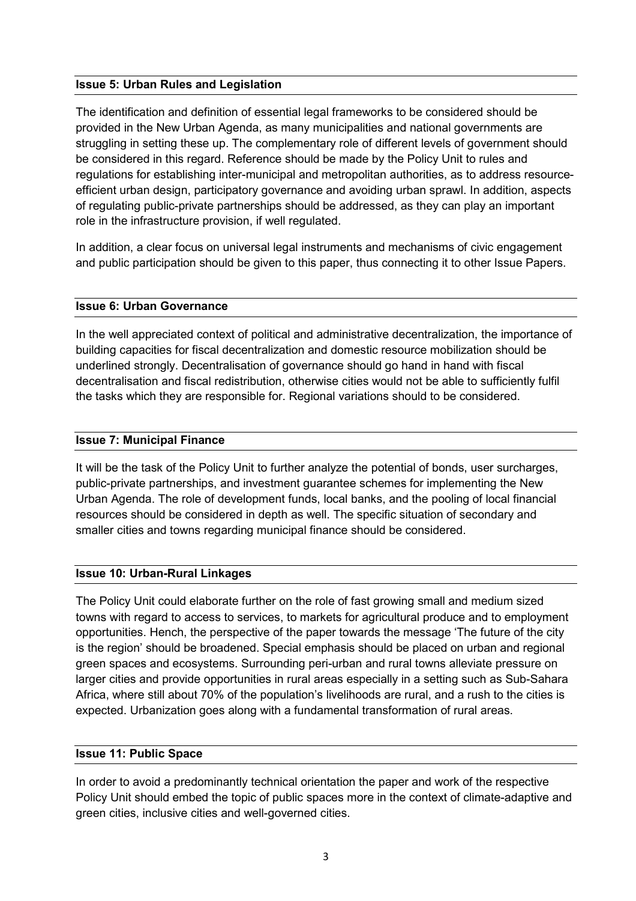## **Issue 5: Urban Rules and Legislation**

The identification and definition of essential legal frameworks to be considered should be provided in the New Urban Agenda, as many municipalities and national governments are struggling in setting these up. The complementary role of different levels of government should be considered in this regard. Reference should be made by the Policy Unit to rules and regulations for establishing inter-municipal and metropolitan authorities, as to address resourceefficient urban design, participatory governance and avoiding urban sprawl. In addition, aspects of regulating public-private partnerships should be addressed, as they can play an important role in the infrastructure provision, if well regulated.

In addition, a clear focus on universal legal instruments and mechanisms of civic engagement and public participation should be given to this paper, thus connecting it to other Issue Papers.

#### **Issue 6: Urban Governance**

In the well appreciated context of political and administrative decentralization, the importance of building capacities for fiscal decentralization and domestic resource mobilization should be underlined strongly. Decentralisation of governance should go hand in hand with fiscal decentralisation and fiscal redistribution, otherwise cities would not be able to sufficiently fulfil the tasks which they are responsible for. Regional variations should to be considered.

## **Issue 7: Municipal Finance**

It will be the task of the Policy Unit to further analyze the potential of bonds, user surcharges, public-private partnerships, and investment guarantee schemes for implementing the New Urban Agenda. The role of development funds, local banks, and the pooling of local financial resources should be considered in depth as well. The specific situation of secondary and smaller cities and towns regarding municipal finance should be considered.

# **Issue 10: Urban-Rural Linkages**

The Policy Unit could elaborate further on the role of fast growing small and medium sized towns with regard to access to services, to markets for agricultural produce and to employment opportunities. Hench, the perspective of the paper towards the message 'The future of the city is the region' should be broadened. Special emphasis should be placed on urban and regional green spaces and ecosystems. Surrounding peri-urban and rural towns alleviate pressure on larger cities and provide opportunities in rural areas especially in a setting such as Sub-Sahara Africa, where still about 70% of the population's livelihoods are rural, and a rush to the cities is expected. Urbanization goes along with a fundamental transformation of rural areas.

#### **Issue 11: Public Space**

In order to avoid a predominantly technical orientation the paper and work of the respective Policy Unit should embed the topic of public spaces more in the context of climate-adaptive and green cities, inclusive cities and well-governed cities.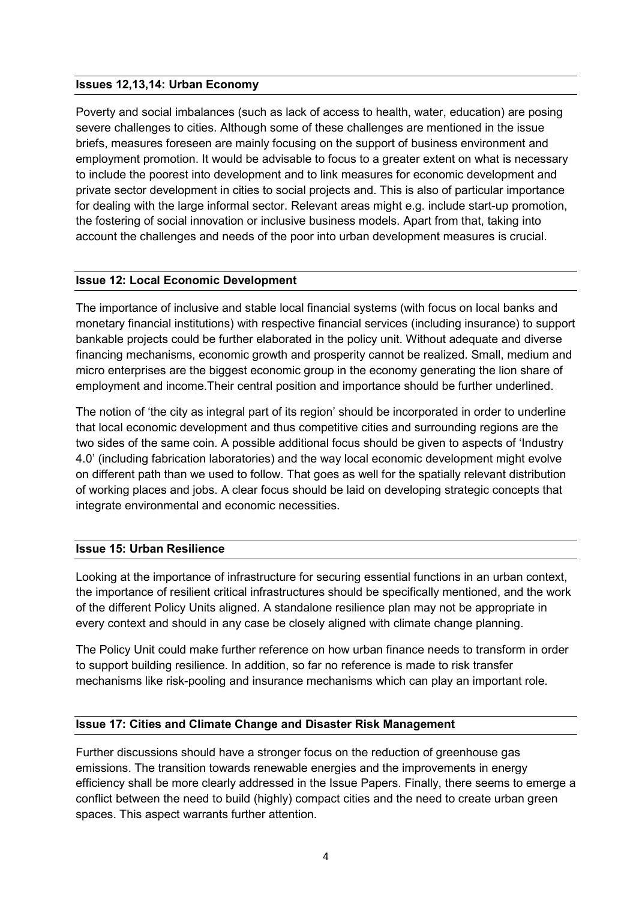### **Issues 12,13,14: Urban Economy**

Poverty and social imbalances (such as lack of access to health, water, education) are posing severe challenges to cities. Although some of these challenges are mentioned in the issue briefs, measures foreseen are mainly focusing on the support of business environment and employment promotion. It would be advisable to focus to a greater extent on what is necessary to include the poorest into development and to link measures for economic development and private sector development in cities to social projects and. This is also of particular importance for dealing with the large informal sector. Relevant areas might e.g. include start-up promotion, the fostering of social innovation or inclusive business models. Apart from that, taking into account the challenges and needs of the poor into urban development measures is crucial.

## **Issue 12: Local Economic Development**

The importance of inclusive and stable local financial systems (with focus on local banks and monetary financial institutions) with respective financial services (including insurance) to support bankable projects could be further elaborated in the policy unit. Without adequate and diverse financing mechanisms, economic growth and prosperity cannot be realized. Small, medium and micro enterprises are the biggest economic group in the economy generating the lion share of employment and income.Their central position and importance should be further underlined.

The notion of 'the city as integral part of its region' should be incorporated in order to underline that local economic development and thus competitive cities and surrounding regions are the two sides of the same coin. A possible additional focus should be given to aspects of 'Industry 4.0' (including fabrication laboratories) and the way local economic development might evolve on different path than we used to follow. That goes as well for the spatially relevant distribution of working places and jobs. A clear focus should be laid on developing strategic concepts that integrate environmental and economic necessities.

#### **Issue 15: Urban Resilience**

Looking at the importance of infrastructure for securing essential functions in an urban context, the importance of resilient critical infrastructures should be specifically mentioned, and the work of the different Policy Units aligned. A standalone resilience plan may not be appropriate in every context and should in any case be closely aligned with climate change planning.

The Policy Unit could make further reference on how urban finance needs to transform in order to support building resilience. In addition, so far no reference is made to risk transfer mechanisms like risk-pooling and insurance mechanisms which can play an important role.

#### **Issue 17: Cities and Climate Change and Disaster Risk Management**

Further discussions should have a stronger focus on the reduction of greenhouse gas emissions. The transition towards renewable energies and the improvements in energy efficiency shall be more clearly addressed in the Issue Papers. Finally, there seems to emerge a conflict between the need to build (highly) compact cities and the need to create urban green spaces. This aspect warrants further attention.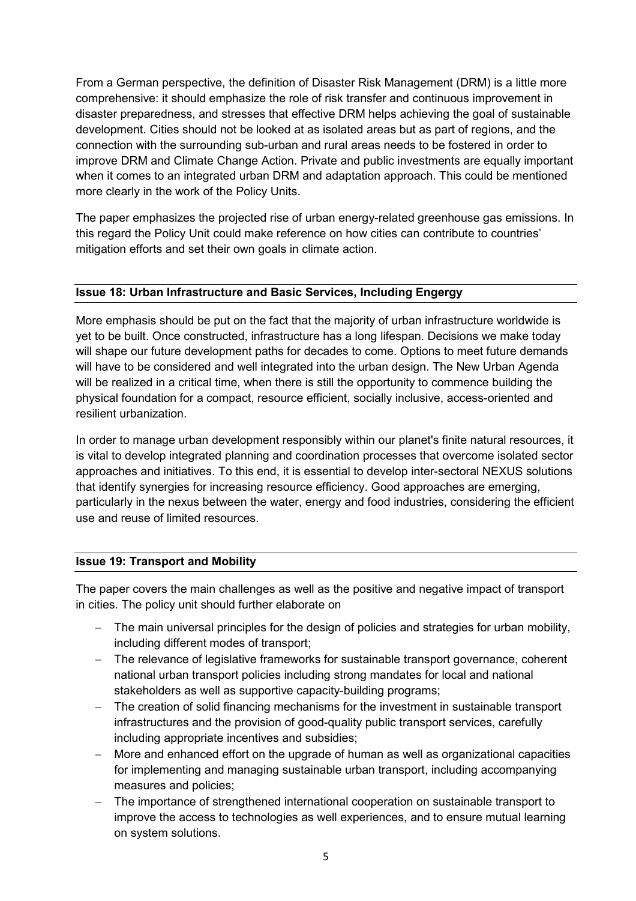From a German perspective, the definition of Disaster Risk Management (DRM) is a little more comprehensive: it should emphasize the role of risk transfer and continuous improvement in disaster preparedness, and stresses that effective DRM helps achieving the goal of sustainable development. Cities should not be looked at as isolated areas but as part of regions, and the connection with the surrounding sub-urban and rural areas needs to be fostered in order to improve DRM and Climate Change Action. Private and public investments are equally important when it comes to an integrated urban DRM and adaptation approach. This could be mentioned more clearly in the work of the Policy Units.

The paper emphasizes the projected rise of urban energy-related greenhouse gas emissions. In this regard the Policy Unit could make reference on how cities can contribute to countries' mitigation efforts and set their own goals in climate action.

## **Issue 18: Urban Infrastructure and Basic Services, Including Engergy**

More emphasis should be put on the fact that the majority of urban infrastructure worldwide is yet to be built. Once constructed, infrastructure has a long lifespan. Decisions we make today will shape our future development paths for decades to come. Options to meet future demands will have to be considered and well integrated into the urban design. The New Urban Agenda will be realized in a critical time, when there is still the opportunity to commence building the physical foundation for a compact, resource efficient, socially inclusive, access-oriented and resilient urbanization.

In order to manage urban development responsibly within our planet's finite natural resources, it is vital to develop integrated planning and coordination processes that overcome isolated sector approaches and initiatives. To this end, it is essential to develop inter-sectoral NEXUS solutions that identify synergies for increasing resource efficiency. Good approaches are emerging, particularly in the nexus between the water, energy and food industries, considering the efficient use and reuse of limited resources.

# **Issue 19: Transport and Mobility**

The paper covers the main challenges as well as the positive and negative impact of transport in cities. The policy unit should further elaborate on

- − The main universal principles for the design of policies and strategies for urban mobility, including different modes of transport;
- − The relevance of legislative frameworks for sustainable transport governance, coherent national urban transport policies including strong mandates for local and national stakeholders as well as supportive capacity-building programs;
- The creation of solid financing mechanisms for the investment in sustainable transport infrastructures and the provision of good-quality public transport services, carefully including appropriate incentives and subsidies;
- − More and enhanced effort on the upgrade of human as well as organizational capacities for implementing and managing sustainable urban transport, including accompanying measures and policies;
- The importance of strengthened international cooperation on sustainable transport to improve the access to technologies as well experiences, and to ensure mutual learning on system solutions.